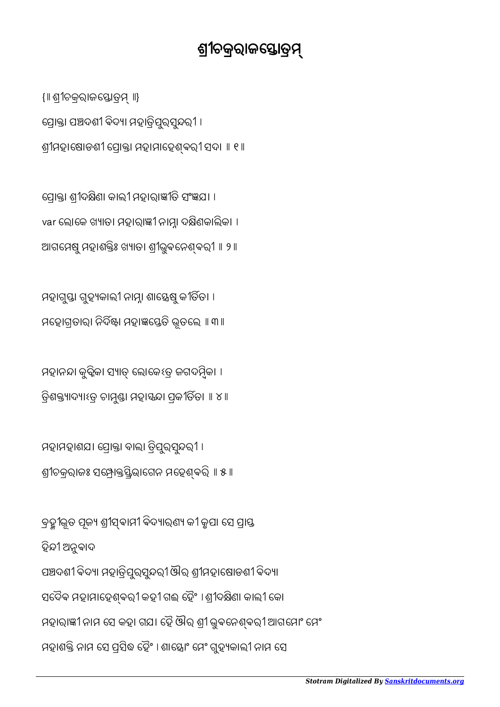ବ୍ରହ୍ୟୁଭୂତ ପୂଜ୍ୟ ଶ୍ରୀସ୍ୱବାମୀ ବିଦ୍ୟାରଣ୍ୟ କୀ କୁପା ସେ ପ୍ରାପ୍ତ ହିନ୍ଦୀ ଅନୁବାଦ ପଞ୍ଚଦଶୀ ବିଦ୍ୟା ମହାତ୍ରିପୁରସୁନ୍ଦରୀ ଔର ଶ୍ରୀମହାଷୋଡଶୀ ବିଦ୍ୟା ସଦୈବ ମହାମାହେଶ୍ବରୀ କହୀ ଗଈ ହୈଂ । ଶ୍ରୀଦକ୍ଷିଣା କାଲୀ କୋ ମହାରାଜ୍ଞୀ ନାମ ସେ କହା ଗଯା ହୈ ଔର ଶ୍ରୀ ଭୁବନେଶ୍ବରୀ ଆଗମୋଂ ମେଂ ମହାଶକ୍ତି ନାମ ସେ ପ୍ରସିଦ୍ଧ ହୈଂ । ଶାସ୍ତୋଂ ମେଂ ଗୁହ୍ୟକାଲୀ ନାମ ସେ

ମହାମହାଶଯ। ପ୍ରୋକ୍ତା ବାଲା ତ୍ରିପୁରସୁନ୍ଦରୀ । ଶ୍ରୀଚକ୍ରରାଜଃ ସ୍ୱେଧ୍ୟକ୍ତସ୍ତିଭାଗେନ ମହେଶ୍ବରି ॥ ୫ ॥

ମହାନନ୍ଦା କୁବ୍କିକା ସ୍ୟାତ୍ ଲୋକେଽତ୍ର ଜଗଦମ୍ବିକା । ତ୍ରିଶକ୍ତ୍ୟାଦ୍ୟାହ୍ର ଚାମୁଣ୍ଡା ମହାସନ୍ଦା ପ୍ରକୀର୍ତିତା ॥ ୪ ॥

ମହାଗୁସ୍ତା ଗୁହ୍ୟକାଲୀ ନାମ୍ନା ଶାସ୍ତ୍ରେଷୁ କୀର୍ତିତା । ମହୋଗ୍ରତାରା ନିର୍ଦିଷ୍ଟା ମହାଜ୍ଞସ୍ତେତି ଭୂତଲେ ॥ ୩॥

ପ୍ରୋକ୍ତା ଶ୍ରୀଦକ୍ଷିଣା କାଲୀ ମହାରାଜ୍ଞୀତି ସଂଜ୍ଞଯା । var ଲୋକେ ଖ୍ୟାତା ମହାରାଜ୍ଞୀ ନାମ୍ନା ଦକ୍ଷିଣକାଲିକା । ଆଗମେଷୁ ମହାଶକ୍ତିଃ ଖ୍ୟାତା ଶ୍ରୀଭୁବନେଶ୍ବରୀ ॥ ୨ ॥

ପ୍ରୋକ୍ତା ପଞ୍ଚଦଶୀ ବିଦ୍ୟା ମହାତ୍ରିପୁରସୁନ୍ଦରୀ । ଶ୍ରୀମହାଷୋଡଶୀ ପ୍ରୋକ୍ତା ମହାମାହେଶ୍ବରୀ ସଦା ॥ ୧ ॥

{॥ ଶୀଚକରାଜୋତ ॥}

ଶ୍ରୀଚକ୍ରରାଜସ୍ତୋତ୍ରମ୍